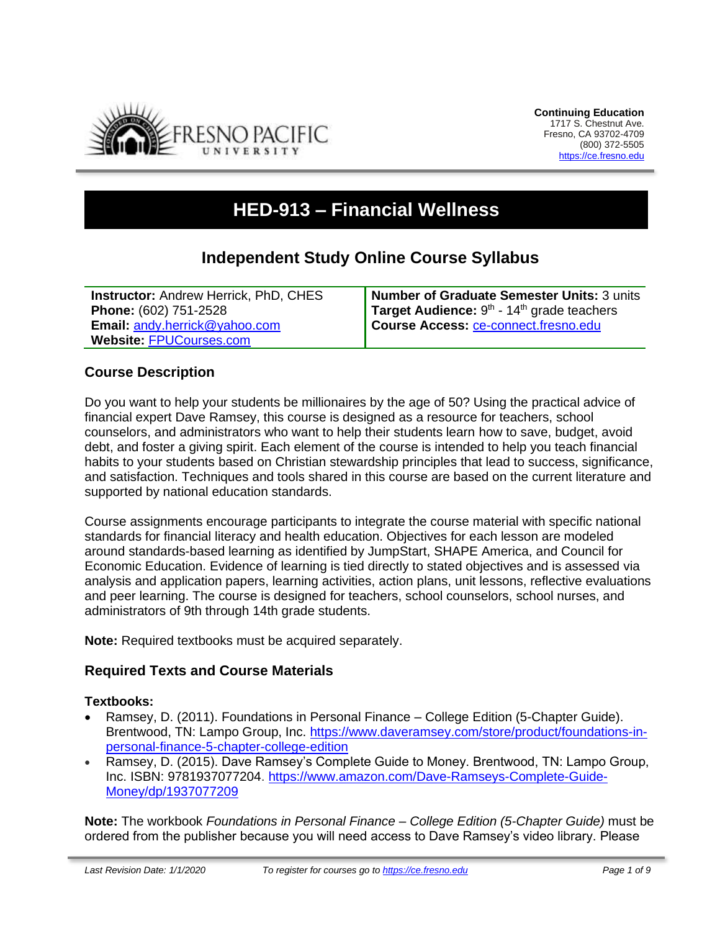

# **HED-913 – Financial Wellness**

# **Independent Study Online Course Syllabus**

**Instructor:** Andrew Herrick, PhD, CHES **Phone:** (602) 751-2528 **Email:** [andy.herrick@yahoo.com](mailto:andy.herrick@yahoo.com) **Website:** [FPUCourses.com](http://www.fpucourses.com/)

**Number of Graduate Semester Units:** 3 units **Target Audience:** 9<sup>th</sup> - 14<sup>th</sup> grade teachers **Course Access:** [ce-connect.fresno.edu](https://ce-connect.fresno.edu/)

## **Course Description**

Do you want to help your students be millionaires by the age of 50? Using the practical advice of financial expert Dave Ramsey, this course is designed as a resource for teachers, school counselors, and administrators who want to help their students learn how to save, budget, avoid debt, and foster a giving spirit. Each element of the course is intended to help you teach financial habits to your students based on Christian stewardship principles that lead to success, significance, and satisfaction. Techniques and tools shared in this course are based on the current literature and supported by national education standards.

Course assignments encourage participants to integrate the course material with specific national standards for financial literacy and health education. Objectives for each lesson are modeled around standards-based learning as identified by JumpStart, SHAPE America, and Council for Economic Education. Evidence of learning is tied directly to stated objectives and is assessed via analysis and application papers, learning activities, action plans, unit lessons, reflective evaluations and peer learning. The course is designed for teachers, school counselors, school nurses, and administrators of 9th through 14th grade students.

**Note:** Required textbooks must be acquired separately.

#### **Required Texts and Course Materials**

#### **Textbooks:**

- Ramsey, D. (2011). Foundations in Personal Finance College Edition (5-Chapter Guide). Brentwood, TN: Lampo Group, Inc. [https://www.daveramsey.com/store/product/foundations-in](https://www.daveramsey.com/store/product/foundations-in-personal-finance-5-chapter-college-edition)[personal-finance-5-chapter-college-edition](https://www.daveramsey.com/store/product/foundations-in-personal-finance-5-chapter-college-edition)
- Ramsey, D. (2015). Dave Ramsey's Complete Guide to Money. Brentwood, TN: Lampo Group, Inc. ISBN: 9781937077204. [https://www.amazon.com/Dave-Ramseys-Complete-Guide-](https://www.amazon.com/Dave-Ramseys-Complete-Guide-Money/dp/1937077209)[Money/dp/1937077209](https://www.amazon.com/Dave-Ramseys-Complete-Guide-Money/dp/1937077209)

**Note:** The workbook *Foundations in Personal Finance – College Edition (5-Chapter Guide)* must be ordered from the publisher because you will need access to Dave Ramsey's video library. Please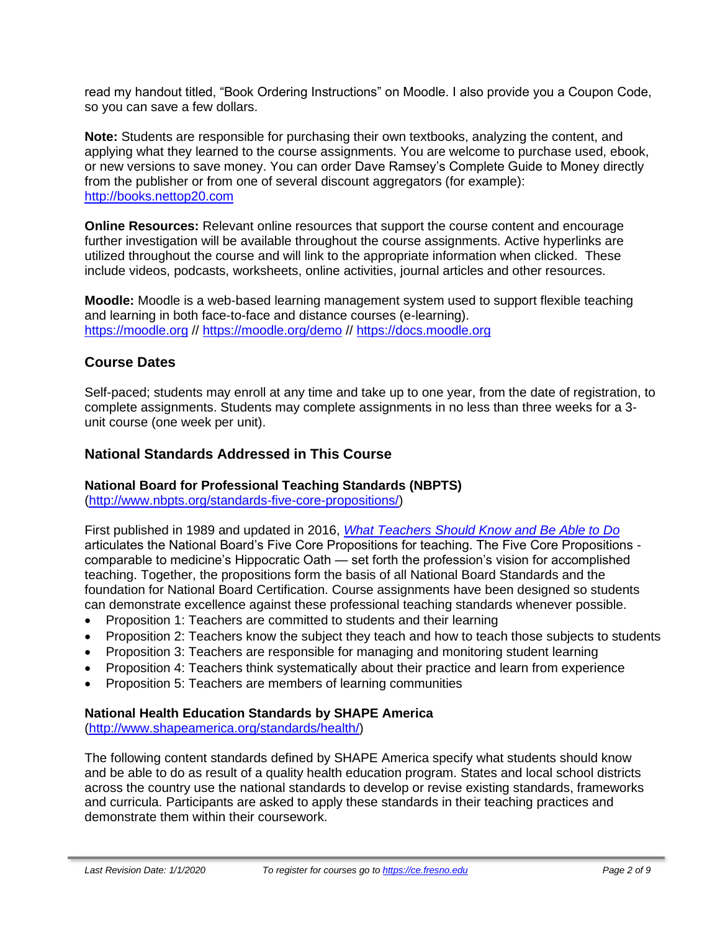read my handout titled, "Book Ordering Instructions" on Moodle. I also provide you a Coupon Code, so you can save a few dollars.

**Note:** Students are responsible for purchasing their own textbooks, analyzing the content, and applying what they learned to the course assignments. You are welcome to purchase used, ebook, or new versions to save money. You can order Dave Ramsey's Complete Guide to Money directly from the publisher or from one of several discount aggregators (for example): [http://books.nettop20.com](http://books.nettop20.com/)

**Online Resources:** Relevant online resources that support the course content and encourage further investigation will be available throughout the course assignments. Active hyperlinks are utilized throughout the course and will link to the appropriate information when clicked. These include videos, podcasts, worksheets, online activities, journal articles and other resources.

**Moodle:** Moodle is a web-based learning management system used to support flexible teaching and learning in both face-to-face and distance courses (e-learning). [https://moodle.org](https://moodle.org/) // <https://moodle.org/demo> // [https://docs.moodle.org](https://docs.moodle.org/)

### **Course Dates**

Self-paced; students may enroll at any time and take up to one year, from the date of registration, to complete assignments. Students may complete assignments in no less than three weeks for a 3 unit course (one week per unit).

#### **National Standards Addressed in This Course**

## **National Board for Professional Teaching Standards (NBPTS)**

[\(http://www.nbpts.org/standards-five-core-propositions/\)](http://www.nbpts.org/standards-five-core-propositions/)

First published in 1989 and updated in 2016, *[What Teachers Should Know and Be Able to Do](http://www.accomplishedteacher.org/)* articulates the National Board's Five Core Propositions for teaching. The Five Core Propositions comparable to medicine's Hippocratic Oath — set forth the profession's vision for accomplished teaching. Together, the propositions form the basis of all National Board Standards and the foundation for National Board Certification. Course assignments have been designed so students can demonstrate excellence against these professional teaching standards whenever possible.

- Proposition 1: Teachers are committed to students and their learning
- Proposition 2: Teachers know the subject they teach and how to teach those subjects to students
- Proposition 3: Teachers are responsible for managing and monitoring student learning
- Proposition 4: Teachers think systematically about their practice and learn from experience
- Proposition 5: Teachers are members of learning communities

#### **National Health Education Standards by SHAPE America**

[\(http://www.shapeamerica.org/standards/health/\)](http://www.shapeamerica.org/standards/health/)

The following content standards defined by SHAPE America specify what students should know and be able to do as result of a quality health education program. States and local school districts across the country use the national standards to develop or revise existing standards, frameworks and curricula. Participants are asked to apply these standards in their teaching practices and demonstrate them within their coursework.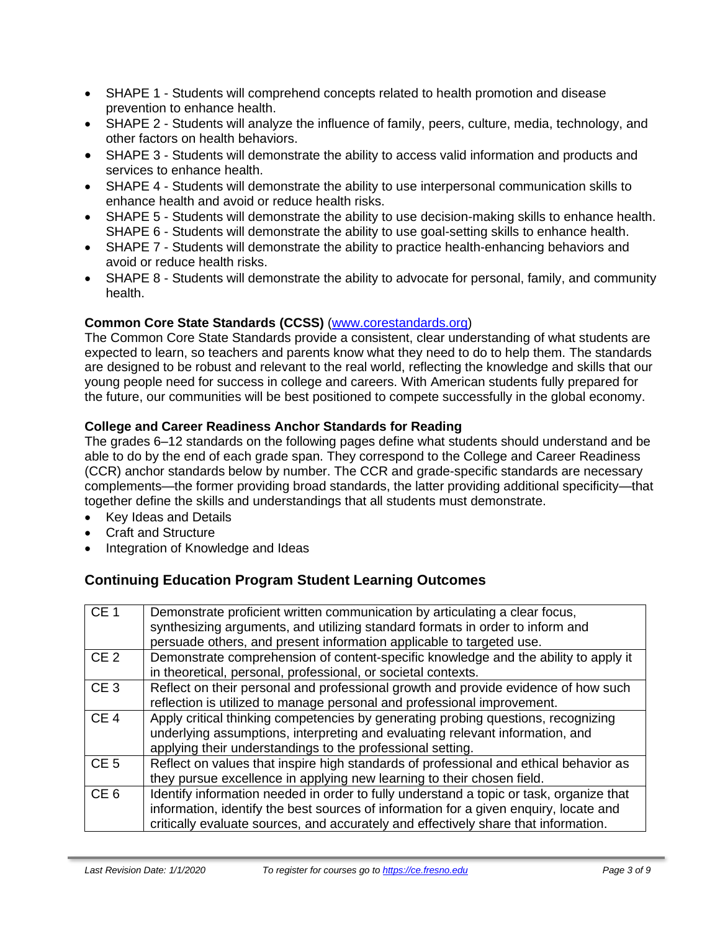- SHAPE 1 Students will comprehend concepts related to health promotion and disease prevention to enhance health.
- SHAPE 2 Students will analyze the influence of family, peers, culture, media, technology, and other factors on health behaviors.
- SHAPE 3 Students will demonstrate the ability to access valid information and products and services to enhance health.
- SHAPE 4 Students will demonstrate the ability to use interpersonal communication skills to enhance health and avoid or reduce health risks.
- SHAPE 5 Students will demonstrate the ability to use decision-making skills to enhance health. SHAPE 6 - Students will demonstrate the ability to use goal-setting skills to enhance health.
- SHAPE 7 Students will demonstrate the ability to practice health-enhancing behaviors and avoid or reduce health risks.
- SHAPE 8 Students will demonstrate the ability to advocate for personal, family, and community health.

#### **Common Core State Standards (CCSS)** [\(www.corestandards.org\)](http://www.corestandards.org/)

The Common Core State Standards provide a consistent, clear understanding of what students are expected to learn, so teachers and parents know what they need to do to help them. The standards are designed to be robust and relevant to the real world, reflecting the knowledge and skills that our young people need for success in college and careers. With American students fully prepared for the future, our communities will be best positioned to compete successfully in the global economy.

#### **College and Career Readiness Anchor Standards for Reading**

The grades 6–12 standards on the following pages define what students should understand and be able to do by the end of each grade span. They correspond to the College and Career Readiness (CCR) anchor standards below by number. The CCR and grade-specific standards are necessary complements—the former providing broad standards, the latter providing additional specificity—that together define the skills and understandings that all students must demonstrate.

- Key Ideas and Details
- Craft and Structure
- Integration of Knowledge and Ideas

## **Continuing Education Program Student Learning Outcomes**

| CE <sub>1</sub> | Demonstrate proficient written communication by articulating a clear focus,<br>synthesizing arguments, and utilizing standard formats in order to inform and                                                                                                            |
|-----------------|-------------------------------------------------------------------------------------------------------------------------------------------------------------------------------------------------------------------------------------------------------------------------|
| CE <sub>2</sub> | persuade others, and present information applicable to targeted use.<br>Demonstrate comprehension of content-specific knowledge and the ability to apply it<br>in theoretical, personal, professional, or societal contexts.                                            |
| CE <sub>3</sub> | Reflect on their personal and professional growth and provide evidence of how such<br>reflection is utilized to manage personal and professional improvement.                                                                                                           |
| CE <sub>4</sub> | Apply critical thinking competencies by generating probing questions, recognizing<br>underlying assumptions, interpreting and evaluating relevant information, and<br>applying their understandings to the professional setting.                                        |
| CE <sub>5</sub> | Reflect on values that inspire high standards of professional and ethical behavior as<br>they pursue excellence in applying new learning to their chosen field.                                                                                                         |
| CE <sub>6</sub> | Identify information needed in order to fully understand a topic or task, organize that<br>information, identify the best sources of information for a given enquiry, locate and<br>critically evaluate sources, and accurately and effectively share that information. |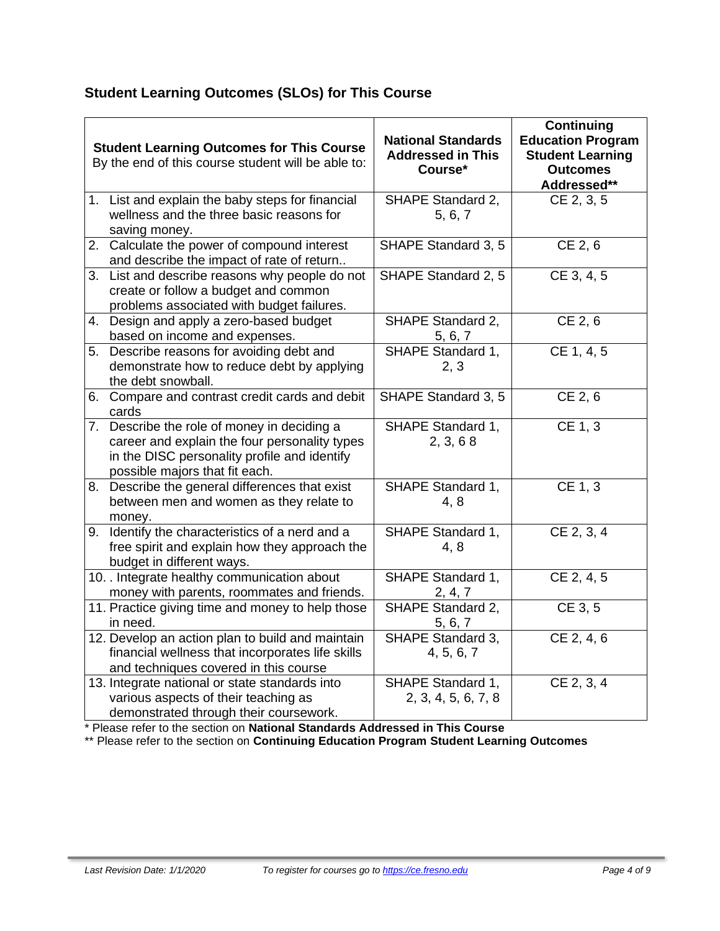# **Student Learning Outcomes (SLOs) for This Course**

|    | <b>Student Learning Outcomes for This Course</b><br>By the end of this course student will be able to:                                                                         | <b>National Standards</b><br><b>Addressed in This</b><br>Course* | Continuing<br><b>Education Program</b><br><b>Student Learning</b><br><b>Outcomes</b><br>Addressed** |
|----|--------------------------------------------------------------------------------------------------------------------------------------------------------------------------------|------------------------------------------------------------------|-----------------------------------------------------------------------------------------------------|
|    | 1. List and explain the baby steps for financial<br>wellness and the three basic reasons for                                                                                   | SHAPE Standard 2,                                                | CE 2, 3, 5                                                                                          |
|    | saving money.                                                                                                                                                                  | 5, 6, 7                                                          |                                                                                                     |
|    | 2. Calculate the power of compound interest<br>and describe the impact of rate of return                                                                                       | SHAPE Standard 3, 5                                              | CE 2, 6                                                                                             |
|    | 3. List and describe reasons why people do not<br>create or follow a budget and common<br>problems associated with budget failures.                                            | SHAPE Standard 2, 5                                              | CE 3, 4, 5                                                                                          |
|    | 4. Design and apply a zero-based budget<br>based on income and expenses.                                                                                                       | SHAPE Standard 2,<br>5, 6, 7                                     | $CE$ 2, 6                                                                                           |
| 5. | Describe reasons for avoiding debt and<br>demonstrate how to reduce debt by applying<br>the debt snowball.                                                                     | SHAPE Standard 1,<br>2, 3                                        | CE 1, 4, 5                                                                                          |
|    | 6. Compare and contrast credit cards and debit<br>cards                                                                                                                        | SHAPE Standard 3, 5                                              | $CE$ 2, 6                                                                                           |
|    | 7. Describe the role of money in deciding a<br>career and explain the four personality types<br>in the DISC personality profile and identify<br>possible majors that fit each. | SHAPE Standard 1,<br>2, 3, 68                                    | $CE$ 1, 3                                                                                           |
|    | 8. Describe the general differences that exist<br>between men and women as they relate to<br>money.                                                                            | SHAPE Standard 1,<br>4, 8                                        | CE <sub>1,3</sub>                                                                                   |
|    | 9. Identify the characteristics of a nerd and a<br>free spirit and explain how they approach the<br>budget in different ways.                                                  | SHAPE Standard 1,<br>4, 8                                        | $CE\ 2, 3, 4$                                                                                       |
|    | 10. . Integrate healthy communication about<br>money with parents, roommates and friends.                                                                                      | SHAPE Standard 1,<br>2, 4, 7                                     | CE 2, 4, 5                                                                                          |
|    | 11. Practice giving time and money to help those<br>in need.                                                                                                                   | SHAPE Standard 2,<br>5, 6, 7                                     | $CE$ 3, 5                                                                                           |
|    | 12. Develop an action plan to build and maintain<br>financial wellness that incorporates life skills<br>and techniques covered in this course                                  | SHAPE Standard 3,<br>4, 5, 6, 7                                  | CE 2, 4, 6                                                                                          |
|    | 13. Integrate national or state standards into<br>various aspects of their teaching as<br>demonstrated through their coursework.                                               | SHAPE Standard 1,<br>2, 3, 4, 5, 6, 7, 8                         | CE 2, 3, 4                                                                                          |

\* Please refer to the section on **National Standards Addressed in This Course**

\*\* Please refer to the section on **Continuing Education Program Student Learning Outcomes**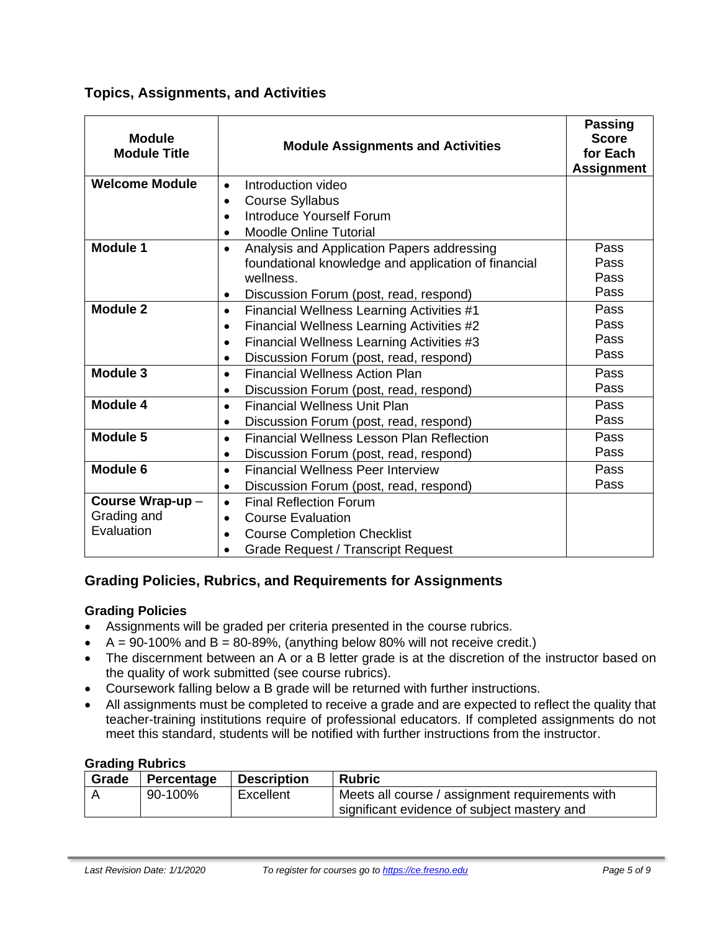**Topics, Assignments, and Activities**

| <b>Module</b><br><b>Module Title</b> | <b>Module Assignments and Activities</b>                      | <b>Passing</b><br><b>Score</b><br>for Each<br><b>Assignment</b> |
|--------------------------------------|---------------------------------------------------------------|-----------------------------------------------------------------|
| <b>Welcome Module</b>                | Introduction video<br>$\bullet$                               |                                                                 |
|                                      | <b>Course Syllabus</b><br>$\bullet$                           |                                                                 |
|                                      | <b>Introduce Yourself Forum</b><br>$\bullet$                  |                                                                 |
|                                      | <b>Moodle Online Tutorial</b>                                 |                                                                 |
| Module 1                             | Analysis and Application Papers addressing<br>$\bullet$       | Pass                                                            |
|                                      | foundational knowledge and application of financial           | Pass                                                            |
|                                      | wellness.                                                     | Pass                                                            |
|                                      | Discussion Forum (post, read, respond)<br>$\bullet$           | Pass                                                            |
| Module 2                             | Financial Wellness Learning Activities #1<br>$\bullet$        | Pass                                                            |
|                                      | Financial Wellness Learning Activities #2<br>$\bullet$        | Pass                                                            |
|                                      | Financial Wellness Learning Activities #3<br>$\bullet$        | Pass                                                            |
|                                      | Discussion Forum (post, read, respond)<br>٠                   | Pass                                                            |
| Module 3                             | <b>Financial Wellness Action Plan</b><br>$\bullet$            | Pass                                                            |
|                                      | Discussion Forum (post, read, respond)<br>$\bullet$           | Pass                                                            |
| Module 4                             | <b>Financial Wellness Unit Plan</b><br>$\bullet$              | Pass                                                            |
|                                      | Discussion Forum (post, read, respond)<br>$\bullet$           | Pass                                                            |
| Module 5                             | <b>Financial Wellness Lesson Plan Reflection</b><br>$\bullet$ | Pass                                                            |
|                                      | Discussion Forum (post, read, respond)<br>$\bullet$           | Pass                                                            |
| Module 6                             | <b>Financial Wellness Peer Interview</b><br>$\bullet$         | Pass                                                            |
|                                      | Discussion Forum (post, read, respond)<br>$\bullet$           | Pass                                                            |
| Course Wrap-up-                      | <b>Final Reflection Forum</b><br>$\bullet$                    |                                                                 |
| Grading and                          | <b>Course Evaluation</b><br>$\bullet$                         |                                                                 |
| Evaluation                           | <b>Course Completion Checklist</b><br>$\bullet$               |                                                                 |
|                                      | <b>Grade Request / Transcript Request</b>                     |                                                                 |

## **Grading Policies, Rubrics, and Requirements for Assignments**

#### **Grading Policies**

- Assignments will be graded per criteria presented in the course rubrics.
- $A = 90-100\%$  and  $B = 80-89\%$ , (anything below 80% will not receive credit.)
- The discernment between an A or a B letter grade is at the discretion of the instructor based on the quality of work submitted (see course rubrics).
- Coursework falling below a B grade will be returned with further instructions.
- All assignments must be completed to receive a grade and are expected to reflect the quality that teacher-training institutions require of professional educators. If completed assignments do not meet this standard, students will be notified with further instructions from the instructor.

#### **Grading Rubrics**

| Grade | Percentage | ∣ Description | <b>Rubric</b>                                   |
|-------|------------|---------------|-------------------------------------------------|
|       | 90-100%    | Excellent     | Meets all course / assignment requirements with |
|       |            |               | significant evidence of subject mastery and     |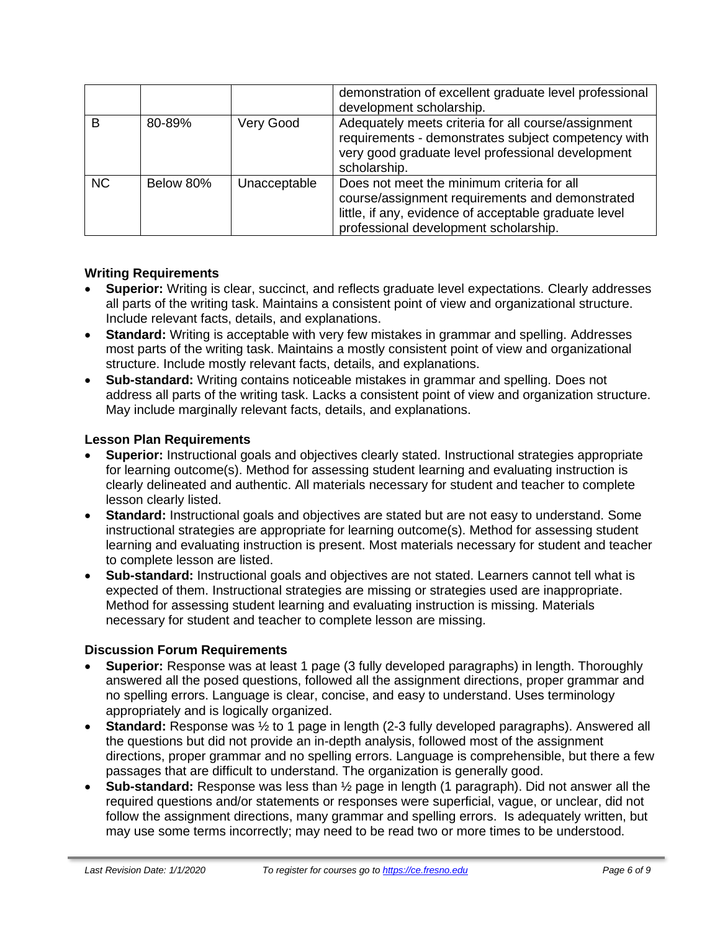|          |           |              | demonstration of excellent graduate level professional<br>development scholarship.                                                                                                              |
|----------|-----------|--------------|-------------------------------------------------------------------------------------------------------------------------------------------------------------------------------------------------|
| <b>B</b> | 80-89%    | Very Good    | Adequately meets criteria for all course/assignment<br>requirements - demonstrates subject competency with<br>very good graduate level professional development<br>scholarship.                 |
| NC       | Below 80% | Unacceptable | Does not meet the minimum criteria for all<br>course/assignment requirements and demonstrated<br>little, if any, evidence of acceptable graduate level<br>professional development scholarship. |

#### **Writing Requirements**

- **Superior:** Writing is clear, succinct, and reflects graduate level expectations. Clearly addresses all parts of the writing task. Maintains a consistent point of view and organizational structure. Include relevant facts, details, and explanations.
- **Standard:** Writing is acceptable with very few mistakes in grammar and spelling. Addresses most parts of the writing task. Maintains a mostly consistent point of view and organizational structure. Include mostly relevant facts, details, and explanations.
- **Sub-standard:** Writing contains noticeable mistakes in grammar and spelling. Does not address all parts of the writing task. Lacks a consistent point of view and organization structure. May include marginally relevant facts, details, and explanations.

#### **Lesson Plan Requirements**

- **Superior:** Instructional goals and objectives clearly stated. Instructional strategies appropriate for learning outcome(s). Method for assessing student learning and evaluating instruction is clearly delineated and authentic. All materials necessary for student and teacher to complete lesson clearly listed.
- **Standard:** Instructional goals and objectives are stated but are not easy to understand. Some instructional strategies are appropriate for learning outcome(s). Method for assessing student learning and evaluating instruction is present. Most materials necessary for student and teacher to complete lesson are listed.
- **Sub-standard:** Instructional goals and objectives are not stated. Learners cannot tell what is expected of them. Instructional strategies are missing or strategies used are inappropriate. Method for assessing student learning and evaluating instruction is missing. Materials necessary for student and teacher to complete lesson are missing.

#### **Discussion Forum Requirements**

- **Superior:** Response was at least 1 page (3 fully developed paragraphs) in length. Thoroughly answered all the posed questions, followed all the assignment directions, proper grammar and no spelling errors. Language is clear, concise, and easy to understand. Uses terminology appropriately and is logically organized.
- **Standard:** Response was ½ to 1 page in length (2-3 fully developed paragraphs). Answered all the questions but did not provide an in-depth analysis, followed most of the assignment directions, proper grammar and no spelling errors. Language is comprehensible, but there a few passages that are difficult to understand. The organization is generally good.
- **Sub-standard:** Response was less than ½ page in length (1 paragraph). Did not answer all the required questions and/or statements or responses were superficial, vague, or unclear, did not follow the assignment directions, many grammar and spelling errors. Is adequately written, but may use some terms incorrectly; may need to be read two or more times to be understood.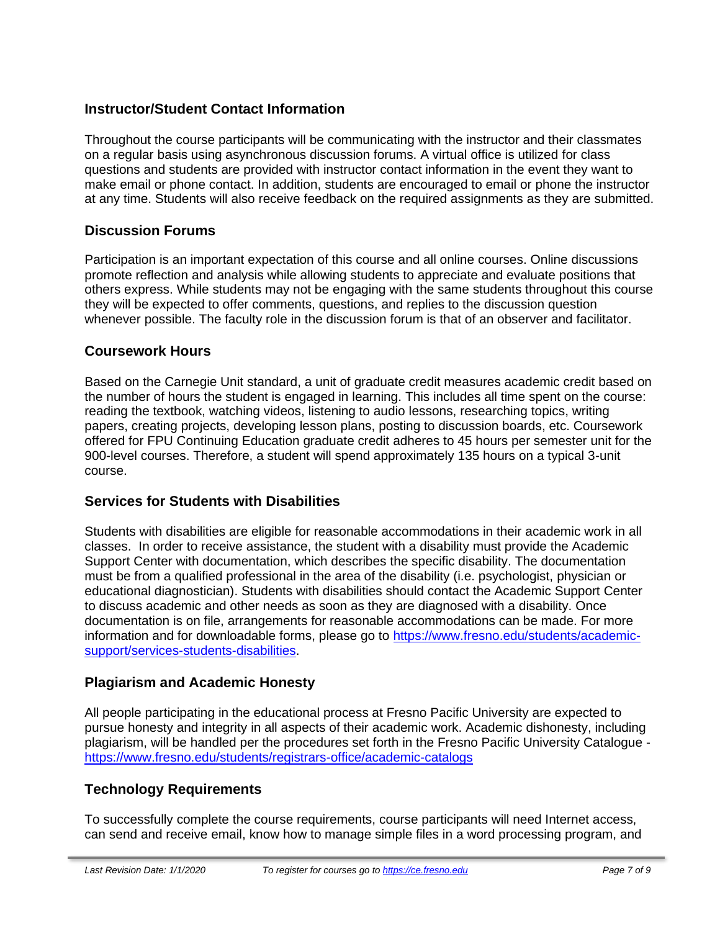### **Instructor/Student Contact Information**

Throughout the course participants will be communicating with the instructor and their classmates on a regular basis using asynchronous discussion forums. A virtual office is utilized for class questions and students are provided with instructor contact information in the event they want to make email or phone contact. In addition, students are encouraged to email or phone the instructor at any time. Students will also receive feedback on the required assignments as they are submitted.

#### **Discussion Forums**

Participation is an important expectation of this course and all online courses. Online discussions promote reflection and analysis while allowing students to appreciate and evaluate positions that others express. While students may not be engaging with the same students throughout this course they will be expected to offer comments, questions, and replies to the discussion question whenever possible. The faculty role in the discussion forum is that of an observer and facilitator.

#### **Coursework Hours**

Based on the Carnegie Unit standard, a unit of graduate credit measures academic credit based on the number of hours the student is engaged in learning. This includes all time spent on the course: reading the textbook, watching videos, listening to audio lessons, researching topics, writing papers, creating projects, developing lesson plans, posting to discussion boards, etc. Coursework offered for FPU Continuing Education graduate credit adheres to 45 hours per semester unit for the 900-level courses. Therefore, a student will spend approximately 135 hours on a typical 3-unit course.

#### **Services for Students with Disabilities**

Students with disabilities are eligible for reasonable accommodations in their academic work in all classes. In order to receive assistance, the student with a disability must provide the Academic Support Center with documentation, which describes the specific disability. The documentation must be from a qualified professional in the area of the disability (i.e. psychologist, physician or educational diagnostician). Students with disabilities should contact the Academic Support Center to discuss academic and other needs as soon as they are diagnosed with a disability. Once documentation is on file, arrangements for reasonable accommodations can be made. For more information and for downloadable forms, please go to [https://www.fresno.edu/students/academic](https://www.fresno.edu/students/academic-support/services-students-disabilities)[support/services-students-disabilities.](https://www.fresno.edu/students/academic-support/services-students-disabilities)

#### **Plagiarism and Academic Honesty**

All people participating in the educational process at Fresno Pacific University are expected to pursue honesty and integrity in all aspects of their academic work. Academic dishonesty, including plagiarism, will be handled per the procedures set forth in the Fresno Pacific University Catalogue <https://www.fresno.edu/students/registrars-office/academic-catalogs>

#### **Technology Requirements**

To successfully complete the course requirements, course participants will need Internet access, can send and receive email, know how to manage simple files in a word processing program, and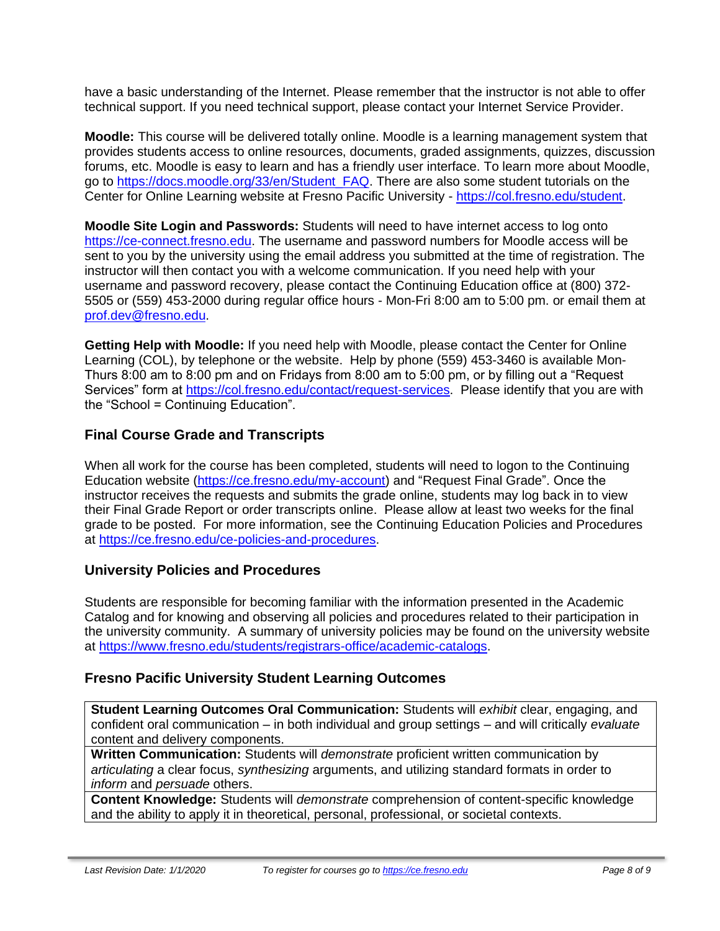have a basic understanding of the Internet. Please remember that the instructor is not able to offer technical support. If you need technical support, please contact your Internet Service Provider.

**Moodle:** This course will be delivered totally online. Moodle is a learning management system that provides students access to online resources, documents, graded assignments, quizzes, discussion forums, etc. Moodle is easy to learn and has a friendly user interface. To learn more about Moodle, go to [https://docs.moodle.org/33/en/Student\\_FAQ.](https://docs.moodle.org/33/en/Student_FAQ) There are also some student tutorials on the Center for Online Learning website at Fresno Pacific University - [https://col.fresno.edu/student.](https://col.fresno.edu/student)

**Moodle Site Login and Passwords:** Students will need to have internet access to log onto [https://ce-connect.fresno.edu.](https://ce-connect.fresno.edu/) The username and password numbers for Moodle access will be sent to you by the university using the email address you submitted at the time of registration. The instructor will then contact you with a welcome communication. If you need help with your username and password recovery, please contact the Continuing Education office at (800) 372- 5505 or (559) 453-2000 during regular office hours - Mon-Fri 8:00 am to 5:00 pm. or email them at [prof.dev@fresno.edu.](mailto:prof.dev@fresno.edu)

**Getting Help with Moodle:** If you need help with Moodle, please contact the Center for Online Learning (COL), by telephone or the website. Help by phone (559) 453-3460 is available Mon-Thurs 8:00 am to 8:00 pm and on Fridays from 8:00 am to 5:00 pm, or by filling out a "Request Services" form at [https://col.fresno.edu/contact/request-services.](https://col.fresno.edu/contact/request-services) Please identify that you are with the "School = Continuing Education".

### **Final Course Grade and Transcripts**

When all work for the course has been completed, students will need to logon to the Continuing Education website [\(https://ce.fresno.edu/my-account\)](https://ce.fresno.edu/my-account) and "Request Final Grade". Once the instructor receives the requests and submits the grade online, students may log back in to view their Final Grade Report or order transcripts online. Please allow at least two weeks for the final grade to be posted. For more information, see the Continuing Education Policies and Procedures at [https://ce.fresno.edu/ce-policies-and-procedures.](https://ce.fresno.edu/ce-policies-and-procedures)

#### **University Policies and Procedures**

Students are responsible for becoming familiar with the information presented in the Academic Catalog and for knowing and observing all policies and procedures related to their participation in the university community. A summary of university policies may be found on the university website at [https://www.fresno.edu/students/registrars-office/academic-catalogs.](https://www.fresno.edu/students/registrars-office/academic-catalogs)

#### **Fresno Pacific University Student Learning Outcomes**

**Student Learning Outcomes Oral Communication:** Students will *exhibit* clear, engaging, and confident oral communication – in both individual and group settings – and will critically *evaluate*  content and delivery components.

**Written Communication:** Students will *demonstrate* proficient written communication by *articulating* a clear focus, *synthesizing* arguments, and utilizing standard formats in order to *inform* and *persuade* others.

**Content Knowledge:** Students will *demonstrate* comprehension of content-specific knowledge and the ability to apply it in theoretical, personal, professional, or societal contexts.